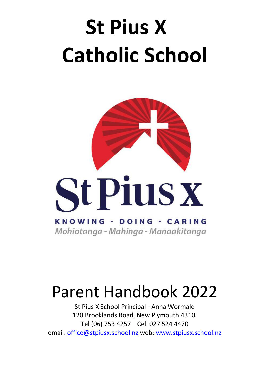# **St Pius X Catholic School**



# Parent Handbook 2022

St Pius X School Principal - Anna Wormald 120 Brooklands Road, New Plymouth 4310. Tel (06) 753 4257 Cell 027 524 4470 email: office@stpiusx.school.nz web: www.stpiusx.school.nz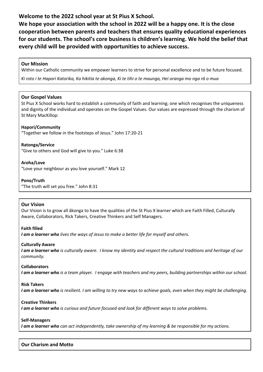# **Welcome to the 2022 school year at St Pius X School.**

**We hope your association with the school in 2022 will be a happy one. It is the close cooperation between parents and teachers that ensures quality educational experiences for our students. The school's core business is children's learning. We hold the belief that every child will be provided with opportunities to achieve success.** 

#### **Our Mission**

Within our Catholic community we empower learners to strive for personal excellence and to be future focused.

*Ki roto i te Hapori Katorika, Ka hikitia te akonga, Ki te tihi o te maunga, Hei oranga mo nga rā o mua*

#### **Our Gospel Values**

St Pius X School works hard to establish a community of faith and learning; one which recognises the uniqueness and dignity of the individual and operates on the Gospel Values. Our values are expressed through the charism of St Mary MacKillop:

#### **Hapori/Community**

"Together we follow in the footsteps of Jesus." John 17:20-21

**Ratonga/Service** "Give to others and God will give to you." Luke 6:38

**Aroha/Love** "Love your neighbour as you love yourself." Mark 12

**Pono/Truth** "The truth will set you free." John 8:31

#### **Our Vision**

Our Vision is to grow all ākonga to have the qualities of the St Pius X learner which are Faith Filled, Culturally Aware, Collaborators, Rick Takers, Creative Thinkers and Self Managers.

**Faith filled**

*I am a learner who lives the ways of Jesus to make a better life for myself and others.*

#### **Culturally Aware**

*I am a learner who is culturally aware. I know my identity and respect the cultural traditions and heritage of our community.*

#### **Collaborators**

*I am a learner who is a team player. I engage with teachers and my peers, building partnerships within our school.*

#### **Risk Takers**

*I am a learner who is resilient. I am willing to try new ways to achieve goals, even when they might be challenging.*

#### **Creative Thinkers**

*I am a learner who is curious and future focused and look for different ways to solve problems.*

#### **Self-Managers**

*I am a learner who can act independently, take ownership of my learning & be responsible for my actions.*

#### **Our Charism and Motto**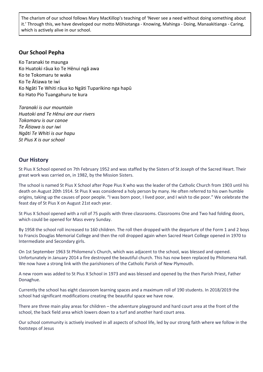The charism of our school follows Mary MacKillop's teaching of 'Never see a need without doing something about it.' Through this, we have developed our motto Mōhiotanga - Knowing, Mahinga - Doing, Manaakitianga - Caring, which is actively alive in our school.

### **Our School Pepha**

Ko Taranaki te maunga Ko Huatoki rāua ko Te Hēnui ngā awa Ko te Tokomaru te waka Ko Te Ātiawa te iwi Ko Ngāti Te Whiti rāua ko Ngāti Tuparikino nga hapū Ko Hato Pio Tuangahuru te kura

*Taranaki is our mountain Huatoki and Te Hēnui are our rivers Tokomaru is our canoe Te Ātiawa is our iwi Ngāti Te Whiti is our hapu St Pius X is our school*

# **Our History**

St Pius X School opened on 7th February 1952 and was staffed by the Sisters of St Joseph of the Sacred Heart. Their great work was carried on, in 1982, by the Mission Sisters.

The school is named St Pius X School after Pope Pius X who was the leader of the Catholic Church from 1903 until his death on August 20th 1914. St Pius X was considered a holy person by many. He often referred to his own humble origins, taking up the causes of poor people. "I was born poor, I lived poor, and I wish to die poor." We celebrate the feast day of St Pius X on August 21st each year.

St Pius X School opened with a roll of 75 pupils with three classrooms. Classrooms One and Two had folding doors, which could be opened for Mass every Sunday.

By 1958 the school roll increased to 160 children. The roll then dropped with the departure of the Form 1 and 2 boys to Francis Douglas Memorial College and then the roll dropped again when Sacred Heart College opened in 1970 to Intermediate and Secondary girls.

On 1st September 1963 St Philomena's Church, which was adjacent to the school, was blessed and opened. Unfortunately in January 2014 a fire destroyed the beautiful church. This has now been replaced by Philomena Hall. We now have a strong link with the parishioners of the Catholic Parish of New Plymouth.

A new room was added to St Pius X School in 1973 and was blessed and opened by the then Parish Priest, Father Donaghue.

Currently the school has eight classroom learning spaces and a maximum roll of 190 students. In 2018/2019 the school had significant modifications creating the beautiful space we have now.

There are three main play areas for children – the adventure playground and hard court area at the front of the school, the back field area which lowers down to a turf and another hard court area.

Our school community is actively involved in all aspects of school life, led by our strong faith where we follow in the footsteps of Jesus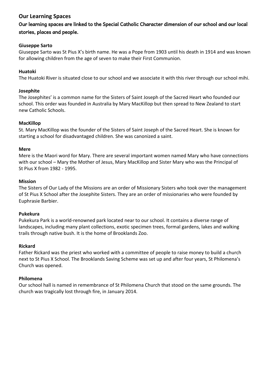# **Our Learning Spaces**

# Our learning spaces are linked to the Special Catholic Character dimension of our school and our local stories, places and people.

#### **Giuseppe Sarto**

Giuseppe Sarto was St Pius X's birth name. He was a Pope from 1903 until his death in 1914 and was known for allowing children from the age of seven to make their First Communion.

#### **Huatoki**

The Huatoki River is situated close to our school and we associate it with this river through our school mihi.

#### **Josephite**

The Josephites' is a common name for the Sisters of Saint Joseph of the Sacred Heart who founded our school. This order was founded in Australia by Mary MacKillop but then spread to New Zealand to start new Catholic Schools.

#### **MacKillop**

St. Mary MacKillop was the founder of the Sisters of Saint Joseph of the Sacred Heart. She is known for starting a school for disadvantaged children. She was canonized a saint.

#### **Mere**

Mere is the Maori word for Mary. There are several important women named Mary who have connections with our school – Mary the Mother of Jesus, Mary MacKillop and Sister Mary who was the Principal of St Pius X from 1982 - 1995.

#### **Mission**

The Sisters of Our Lady of the Missions are an order of Missionary Sisters who took over the management of St Pius X School after the Josephite Sisters. They are an order of missionaries who were founded by Euphrasie Barbier.

#### **Pukekura**

Pukekura Park is a world-renowned park located near to our school. It contains a diverse range of landscapes, including many plant collections, exotic specimen trees, formal gardens, lakes and walking trails through native bush. It is the home of Brooklands Zoo.

#### **Rickard**

Father Rickard was the priest who worked with a committee of people to raise money to build a church next to St Pius X School. The Brooklands Saving Scheme was set up and after four years, St Philomena's Church was opened.

#### **Philomena**

Our school hall is named in remembrance of St Philomena Church that stood on the same grounds. The church was tragically lost through fire, in January 2014.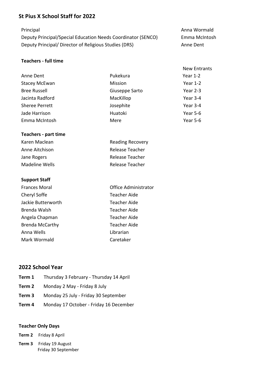# **St Pius X School Staff for 2022**

Deputy Principal/Special Education Needs Coordinator (SENCO) Emma McIntosh Deputy Principal/ Director of Religious Studies (DRS) Anne Dent

#### **Teachers - full time**

| Pukekura       | Year $1-2$ |
|----------------|------------|
| Mission        | Year $1-2$ |
| Giuseppe Sarto | Year 2-3   |
| MacKillop      | Year 3-4   |
| Josephite      | Year 3-4   |
| Huatoki        | Year 5-6   |
| Mere           | Year 5-6   |
|                |            |

#### **Teachers - part time**

| Karen Maclean  | <b>Reading Recovery</b> |
|----------------|-------------------------|
| Anne Aitchison | Release Teacher         |
| Jane Rogers    | Release Teacher         |
| Madeline Wells | Release Teacher         |

#### **Support Staff**

| <b>Frances Moral</b>   | <b>Office Administrator</b> |  |
|------------------------|-----------------------------|--|
| Cheryl Soffe           | <b>Teacher Aide</b>         |  |
| Jackie Butterworth     | <b>Teacher Aide</b>         |  |
| Brenda Walsh           | <b>Teacher Aide</b>         |  |
| Angela Chapman         | <b>Teacher Aide</b>         |  |
| <b>Brenda McCarthy</b> | <b>Teacher Aide</b>         |  |
| Anna Wells             | Librarian                   |  |
| Mark Wormald           | Caretaker                   |  |

# **2022 School Year**

- **Term 1** Thursday 3 February Thursday 14 April
- **Term 2** Monday 2 May Friday 8 July
- **Term 3** Monday 25 July Friday 30 September
- **Term 4** Monday 17 October Friday 16 December

#### **Teacher Only Days**

**Term 2** Friday 8 April

**Term 3** Friday 19 August Friday 30 September

Principal **Anna Wormald** 

**New Entrants**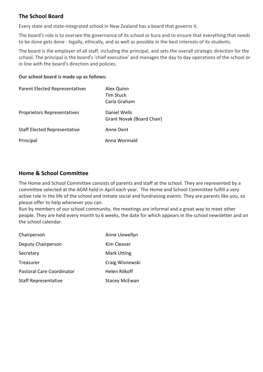# **The School Board**

Every state and state-integrated school in New Zealand has a board that governs it.

The board's role is to oversee the governance of its school or kura and to ensure that everything that needs to be done gets done - legally, ethically, and as well as possible in the best interests of its students.

The board is the employer of all staff, including the principal, and sets the overall strategic direction for the school. The principal is the board's 'chief executive' and manages the day to day operations of the school or in line with the board's direction and policies.

#### **Our school board is made up as follows:**

| <b>Parent Elected Representatives</b> | Alex Quinn<br><b>Tim Stuck</b><br>Carla Graham |
|---------------------------------------|------------------------------------------------|
| Proprietors Representatives           | Daniel Wells<br>Grant Novak (Board Chair)      |
| <b>Staff Elected Representative</b>   | Anne Dent                                      |
| Principal                             | Anna Wormald                                   |

# **Home & School Committee**

The Home and School Committee consists of parents and staff at the school. They are represented by a committee selected at the AGM held in April each year. The Home and School Committee fulfill a very active role in the life of the school and initiate social and fundraising events. They are parents like you, so please offer to help whenever you can.

Run by members of our school community, the meetings are informal and a great way to meet other people. They are held every month to 6 weeks, the date for which appears in the school newsletter and on the school calendar.

| Chairperson                 | Anne Llewellyn       |
|-----------------------------|----------------------|
| Deputy Chairperson          | Kim Cleaver          |
| Secretary                   | <b>Mark Utting</b>   |
| Treasurer                   | Craig Wisnewski      |
| Pastoral Care Coordinator   | Helen Rilkoff        |
| <b>Staff Representative</b> | <b>Stacey McEwan</b> |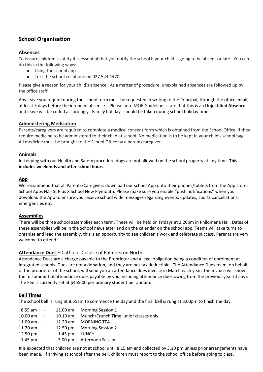# **School Organisation**

#### **Absences**

To ensure children's safety it is essential that you notify the school if your child is going to be absent or late. You can do this in the following ways:

- Using the school app
- Text the school cellphone on 027 524 4470

Please give a reason for your child's absence. As a matter of procedure, unexplained absences are followed up by the office staff.

Any leave you require during the school term must be requested in writing to the Principal, through the office email, at least 5 days before the intended absence. Please note MOE Guidelines state that this is an **Unjustified Absence** and leave will be coded accordingly. Family holidays should be taken during school holiday time.

#### **Administering Medication**

Parents/caregivers are required to complete a medical consent form which is obtained from the School Office, if they require medicine to be administered to their child at school. No medication is to be kept in your child's school bag. All medicine must be brought to the School Office by a parent/caregiver.

#### **Animals**

In keeping with our Health and Safety procedure dogs are not allowed on the school property at any time. **This includes weekends and after school hours.**

#### **App**

We recommend that all Parents/Caregivers download our school App onto their phones/tablets from the App store: School Apps NZ - St Pius X School New Plymouth. Please make sure you enable "push notifications" when you download the App to ensure you receive school wide messages regarding events, updates, sports cancellations, emergencies etc.

#### **Assemblies**

There will be three school assemblies each term. These will be held on Fridays at 2.20pm in Philomena Hall. Dates of these assemblies will be in the School newsletter and on the calendar on the school app. Teams will take turns to organise and lead the assembly, this is an opportunity to see children's work and celebrate success. Parents are very welcome to attend.

#### **Attendance Dues –** Catholic Diocese of Palmerston North

Attendance Dues are a charge payable to the Proprietor and a legal obligation being a condition of enrolment at integrated schools. Dues are not a donation, and they are not tax deductible. The Attendance Dues team, on behalf of the proprietor of the school, will send you an attendance dues invoice in March each year. The invoice will show the full amount of attendance dues payable by you including attendance dues owing from the previous year (if any). The Fee is currently set at \$455.00 per primary student per annum.

#### **Bell Times**

The school bell is rung at 8:55am to commence the day and the final bell is rung at 3.00pm to finish the day.

| 8.55 am -               |               | 11.00 am Morning Session 1            |
|-------------------------|---------------|---------------------------------------|
| 10.00 am -              | 10.10 am      | Munch/Crunch Time junior classes only |
| 11.00 am -              |               | 11.20 am MORNING TEA                  |
| $11.20 \text{ am } -$   |               | 12.50 pm Morning Session 2            |
| $12.50 \,\mathrm{pm}$ - | 1.45 pm LUNCH |                                       |
| $1.45 \,\mathrm{pm}$ -  |               | 3.00 pm Afternoon Session             |

It is expected that children are not at school until 8.15 am and collected by 3.10 pm unless prior arrangements have been made. If arriving at school after the bell, children must report to the school office before going to class.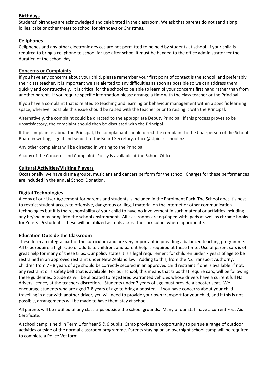#### **Birthdays**

Students' birthdays are acknowledged and celebrated in the classroom. We ask that parents do not send along lollies, cake or other treats to school for birthdays or Christmas.

#### **Cellphones**

Cellphones and any other electronic devices are not permitted to be held by students at school. If your child is required to bring a cellphone to school for use after school it must be handed to the office administrator for the duration of the school day.

#### **Concerns or Complaints**

If you have any concerns about your child, please remember your first point of contact is the school, and preferably their class teacher. It is important we are alerted to any difficulties as soon as possible so we can address them quickly and constructively. It is critical for the school to be able to learn of your concerns first hand rather than from another parent. If you require specific information please arrange a time with the class teacher or the Principal.

If you have a complaint that is related to teaching and learning or behaviour management within a specific learning space, wherever possible this issue should be raised with the teacher prior to raising it with the Principal.

Alternatively, the complaint could be directed to the appropriate Deputy Principal. If this process proves to be unsatisfactory, the complaint should then be discussed with the Principal.

If the complaint is about the Principal, the complainant should direct the complaint to the Chairperson of the School Board in writing, sign it and send it to the Board Secretary, office@stpiusx.school.nz

Any other complaints will be directed in writing to the Principal.

A copy of the Concerns and Complaints Policy is available at the School Office.

#### **Cultural Activities/Visiting Players**

Occasionally, we have drama groups, musicians and dancers perform for the school. Charges for these performances are included in the annual School Donation.

#### **Digital Technologies**

A copy of our User Agreement for parents and students is included in the Enrolment Pack. The School does it's best to restrict student access to offensive, dangerous or illegal material on the internet or other communication technologies but it is the responsibility of your child to have no involvement in such material or activities including any he/she may bring into the school environment. All classrooms are equipped with ipads as well as chrome books for Year 3 - 6 students. These will be utilized as tools across the curriculum where appropriate.

#### **Education Outside the Classroom**

These form an integral part of the curriculum and are very important in providing a balanced teaching programme. All trips require a high ratio of adults to children, and parent help is required at these times. Use of parent cars is of great help for many of these trips. Our policy states it is a legal requirement for children under 7 years of age to be restrained in an approved restraint under New Zealand law. Adding to this, from the NZ Transport Authority, children from 7 - 8 years of age should be correctly secured in an approved child restraint if one is available if not, any restraint or a safety belt that is available. For our school, this means that trips that require cars, will be following these guidelines. Students will be allocated to registered warranted vehicles whose drivers have a current full NZ drivers licence, at the teachers discretion. Students under 7 years of age must provide a booster seat. We encourage students who are aged 7-8 years of age to bring a booster. If you have concerns about your child travelling in a car with another driver, you will need to provide your own transport for your child, and if this is not possible, arrangements will be made to have them stay at school.

All parents will be notified of any class trips outside the school grounds. Many of our staff have a current First Aid Certificate.

A school camp is held in Term 1 for Year 5 & 6 pupils. Camp provides an opportunity to pursue a range of outdoor activities outside of the normal classroom programme. Parents staying on an overnight school camp will be required to complete a Police Vet form.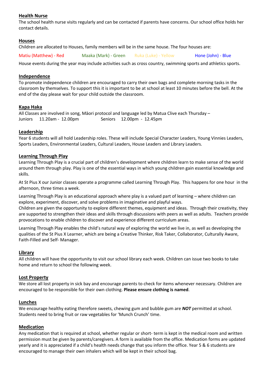#### **Health Nurse**

The school health nurse visits regularly and can be contacted if parents have concerns. Our school office holds her contact details.

#### **Houses**

Children are allocated to Houses, family members will be in the same house. The four houses are:

Matiu (Matthew) - Red Maaka (Mark) - Green Ruka (Luke) - Yellow Hone (John) - Blue

House events during the year may include activities such as cross country, swimming sports and athletics sports.

#### **Independence**

To promote independence children are encouraged to carry their own bags and complete morning tasks in the classroom by themselves. To support this it is important to be at school at least 10 minutes before the bell. At the end of the day please wait for your child outside the classroom.

#### **Kapa Haka**

All Classes are involved in song, Māori protocol and language led by Matua Clive each Thursday – Juniors 11.20am - 12.00pm Seniors 12.00pm - 12.45pm

#### **Leadership**

Year 6 students will all hold Leadership roles. These will include Special Character Leaders, Young Vinnies Leaders, Sports Leaders, Environmental Leaders, Cultural Leaders, House Leaders and Library Leaders.

#### **Learning Through Play**

Learning Through Play is a crucial part of children's development where children learn to make sense of the world around them through play. Play is one of the essential ways in which young children gain essential knowledge and skills.

At St Pius X our Junior classes operate a programme called Learning Through Play. This happens for one hour in the afternoon, three times a week.

Learning Through Play is an educational approach where play is a valued part of learning – where children can explore, experiment, discover, and solve problems in imaginative and playful ways.

Children are given the opportunity to explore different themes, equipment and ideas. Through their creativity, they are supported to strengthen their ideas and skills through discussions with peers as well as adults. Teachers provide provocations to enable children to discover and experience different curriculum areas.

Learning Through Play enables the child's natural way of exploring the world we live in, as well as developing the qualities of the St Pius X Learner, which are being a Creative Thinker, Risk Taker, Collaborator, Culturally Aware, Faith-Filled and Self- Manager.

#### **Library**

All children will have the opportunity to visit our school library each week. Children can issue two books to take home and return to school the following week.

#### **Lost Property**

We store all lost property in sick bay and encourage parents to check for items whenever necessary. Children are encouraged to be responsible for their own clothing. **Please ensure clothing is named**.

#### **Lunches**

We encourage healthy eating therefore sweets, chewing gum and bubble gum are *NOT* permitted at school. Students need to bring fruit or raw vegetables for 'Munch Crunch' time.

#### **Medication**

Any medication that is required at school, whether regular or short- term is kept in the medical room and written permission must be given by parents/caregivers. A form is available from the office. Medication forms are updated yearly and it is appreciated if a child's health needs change that you inform the office. Year 5 & 6 students are encouraged to manage their own inhalers which will be kept in their school bag.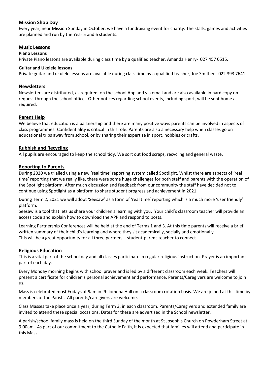#### **Mission Shop Day**

Every year, near Mission Sunday in October, we have a fundraising event for charity. The stalls, games and activities are planned and run by the Year 5 and 6 students.

#### **Music Lessons**

#### **Piano Lessons**

Private Piano lessons are available during class time by a qualified teacher, Amanda Henry- 027 457 0515.

#### **Guitar and Ukelele lessons**

Private guitar and ukulele lessons are available during class time by a qualified teacher, Joe Smither - 022 393 7641.

#### **Newsletters**

Newsletters are distributed, as required, on the school App and via email and are also available in hard copy on request through the school office. Other notices regarding school events, including sport, will be sent home as required.

#### **Parent Help**

We believe that education is a partnership and there are many positive ways parents can be involved in aspects of class programmes. Confidentiality is critical in this role. Parents are also a necessary help when classes go on educational trips away from school, or by sharing their expertise in sport, hobbies or crafts.

#### **Rubbish and Recycling**

All pupils are encouraged to keep the school tidy. We sort out food scraps, recycling and general waste.

#### **Reporting to Parents**

During 2020 we trialled using a new 'real time' reporting system called Spotlight. Whilst there are aspects of 'real time' reporting that we really like, there were some huge challenges for both staff and parents with the operation of the Spotlight platform. After much discussion and feedback from our community the staff have decided not to continue using Spotlight as a platform to share student progress and achievement in 2021.

During Term 2, 2021 we will adopt 'Seesaw' as a form of 'real time' reporting which is a much more 'user friendly' platform.

Seesaw is a tool that lets us share your children's learning with you. Your child's classroom teacher will provide an access code and explain how to download the APP and respond to posts.

Learning Partnership Conferences will be held at the end of Terms 1 and 3. At this time parents will receive a brief written summary of their child's learning and where they sit academically, socially and emotionally. This will be a great opportunity for all three partners – student-parent-teacher to connect.

#### **Religious Education**

This is a vital part of the school day and all classes participate in regular religious instruction. Prayer is an important part of each day.

Every Monday morning begins with school prayer and is led by a different classroom each week. Teachers will present a certificate for children's personal achievement and performance. Parents/Caregivers are welcome to join us.

Mass is celebrated most Fridays at 9am in Philomena Hall on a classroom rotation basis. We are joined at this time by members of the Parish. All parents/caregivers are welcome.

Class Masses take place once a year, during Term 3, in each classroom. Parents/Caregivers and extended family are invited to attend these special occasions. Dates for these are advertised in the School newsletter.

A parish/school family mass is held on the third Sunday of the month at St Joseph's Church on Powderham Street at 9.00am. As part of our commitment to the Catholic Faith, it is expected that families will attend and participate in this Mass.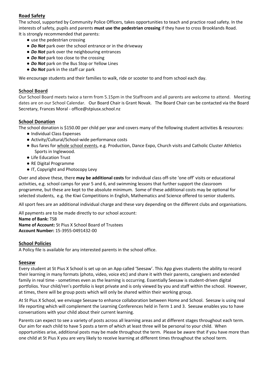#### **Road Safety**

The school, supported by Community Police Officers, takes opportunities to teach and practice road safety. In the interests of safety, pupils and parents **must use the pedestrian crossing** if they have to cross Brooklands Road. It is strongly recommended that parents:

- use the pedestrian crossing
- *Do Not* park over the school entrance or in the driveway
- *Do Not* park over the neighbouring entrances
- *Do Not* park too close to the crossing
- *Do Not* park on the Bus Stop or Yellow Lines
- *Do Not* park in the staff car park

We encourage students and their families to walk, ride or scooter to and from school each day.

#### **School Board**

Our School Board meets twice a term from 5.15pm in the Staffroom and all parents are welcome to attend. Meeting dates are on our School Calendar. Our Board Chair is Grant Novak. The Board Chair can be contacted via the Board Secretary, Frances Moral - office@stpiusx.school.nz

#### **School Donation**

The school donation is \$150.00 per child per year and covers many of the following student activities & resources:

- Individual Class Expenses
- Activity/Cultural/School-wide performance costs
- Bus fares for whole school events, e.g. Production, Dance Expo, Church visits and Catholic Cluster Athletics Sports in Inglewood.
- Life Education Trust
- RE Digital Programme
- IT, Copyright and Photocopy Levy

Over and above these, there **may be additional costs** for individual class off-site 'one off' visits or educational activities, e.g. school camps for year 5 and 6, and swimming lessons that further support the classroom programme, but these are kept to the absolute minimum. Some of these additional costs may be optional for selected students, e.g. the Kiwi Competitions in English, Mathematics and Science offered to senior students.

All sport fees are an additional individual charge and these vary depending on the different clubs and organisations.

All payments are to be made directly to our school account: **Name of Bank:** TSB **Name of Account:** St Pius X School Board of Trustees **Account Number:** 15-3955-0491432-00

#### **School Policies**

A Policy file is available for any interested parents in the school office.

#### **Seesaw**

Every student at St Pius X School is set up on an App called 'Seesaw'. This App gives students the ability to record their learning in many formats (photo, video, voice etc) and share it with their parents, caregivers and extended family in real time - sometimes even as the learning is occurring. Essentially Seesaw is student-driven digital portfolios. Your child/ren's portfolio is kept private and is only viewed by you and staff within the school. However, at times, there will be group posts which will only be shared within their working group.

At St Pius X School, we envisage Seesaw to enhance collaboration between Home and School. Seesaw is using real life reporting which will complement the Learning Conferences held in Term 1 and 3. Seesaw enables you to have conversations with your child about their current learning.

Parents can expect to see a variety of posts across all learning areas and at different stages throughout each term. Our aim for each child to have 5 posts a term of which at least three will be personal to your child. When opportunities arise, additional posts may be made throughout the term. Please be aware that if you have more than one child at St Pius X you are very likely to receive learning at different times throughout the school term.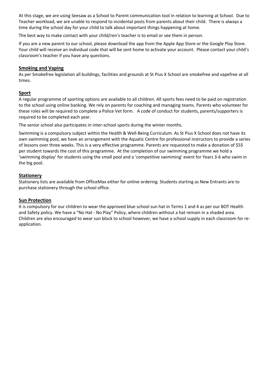At this stage, we are using Seesaw as a School to Parent communication tool in relation to learning at School. Due to Teacher workload, we are unable to respond to incidental posts from parents about their child. There is always a time during the school day for your child to talk about important things happening at home.

The best way to make contact with your child/ren's teacher is to email or see them in person.

If you are a new parent to our school, please download the app from the Apple App Store or the Google Play Store. Your child will receive an individual code that will be sent home to activate your account. Please contact your child's classroom's teacher if you have any questions.

#### **Smoking and Vaping**

As per Smokefree legislation all buildings, facilities and grounds at St Pius X School are smokefree and vapefree at all times.

#### **Sport**

A regular programme of sporting options are available to all children. All sports fees need to be paid on registration to the school using online banking. We rely on parents for coaching and managing teams. Parents who volunteer for these roles will be required to complete a Police Vet form. A code of conduct for students, parents/supporters is required to be completed each year.

The senior school also participates in inter-school sports during the winter months.

Swimming is a compulsory subject within the Health & Well-Being Curriculum. As St Pius X School does not have its own swimming pool, we have an arrangement with the Aquatic Centre for professional instructors to provide a series of lessons over three weeks. This is a very effective programme. Parents are requested to make a donation of \$55 per student towards the cost of this programme. At the completion of our swimming programme we hold a 'swimming display' for students using the small pool and a 'competitive swimming' event for Years 3-6 who swim in the big pool.

#### **Stationery**

Stationery lists are available from OfficeMax either for online ordering. Students starting as New Entrants are to purchase stationery through the school office.

#### **Sun Protection**

It is compulsory for our children to wear the approved blue school sun hat in Terms 1 and 4 as per our BOT Health and Safety policy. We have a "No Hat - No Play" Policy, where children without a hat remain in a shaded area. Children are also encouraged to wear sun block to school however, we have a school supply in each classroom for reapplication.